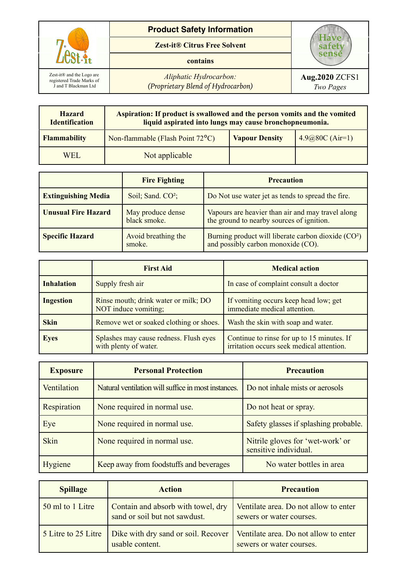

| <b>Hazard</b><br><b>Identification</b> | Aspiration: If product is swallowed and the person vomits and the vomited<br>liquid aspirated into lungs may cause bronchopneumonia. |                       |                    |
|----------------------------------------|--------------------------------------------------------------------------------------------------------------------------------------|-----------------------|--------------------|
| <b>Flammability</b>                    | Non-flammable (Flash Point 72°C)                                                                                                     | <b>Vapour Density</b> | 4.9 $@80C (Air=1)$ |
| WEL.                                   | Not applicable                                                                                                                       |                       |                    |

|                            | <b>Fire Fighting</b>              | <b>Precaution</b>                                                                                     |
|----------------------------|-----------------------------------|-------------------------------------------------------------------------------------------------------|
| <b>Extinguishing Media</b> | Soil; Sand. CO <sup>2</sup> ;     | Do Not use water jet as tends to spread the fire.                                                     |
| <b>Unusual Fire Hazard</b> | May produce dense<br>black smoke. | Vapours are heavier than air and may travel along<br>the ground to nearby sources of ignition.        |
| <b>Specific Hazard</b>     | Avoid breathing the<br>smoke.     | Burning product will liberate carbon dioxide (CO <sup>2</sup> )<br>and possibly carbon monoxide (CO). |

|                   | <b>First Aid</b>                                                | <b>Medical action</b>                                                                   |
|-------------------|-----------------------------------------------------------------|-----------------------------------------------------------------------------------------|
| <b>Inhalation</b> | Supply fresh air                                                | In case of complaint consult a doctor                                                   |
| <b>Ingestion</b>  | Rinse mouth; drink water or milk; DO<br>NOT induce vomiting;    | If vomiting occurs keep head low; get<br>immediate medical attention.                   |
| <b>Skin</b>       | Remove wet or soaked clothing or shoes.                         | Wash the skin with soap and water.                                                      |
| <b>Eyes</b>       | Splashes may cause redness. Flush eyes<br>with plenty of water. | Continue to rinse for up to 15 minutes. If<br>irritation occurs seek medical attention. |

| <b>Exposure</b> | <b>Personal Protection</b>                          | <b>Precaution</b>                                         |
|-----------------|-----------------------------------------------------|-----------------------------------------------------------|
| Ventilation     | Natural ventilation will suffice in most instances. | Do not inhale mists or aerosols                           |
| Respiration     | None required in normal use.                        | Do not heat or spray.                                     |
| Eye             | None required in normal use.                        | Safety glasses if splashing probable.                     |
| <b>Skin</b>     | None required in normal use.                        | Nitrile gloves for 'wet-work' or<br>sensitive individual. |
| Hygiene         | Keep away from foodstuffs and beverages             | No water bottles in area                                  |

| <b>Spillage</b>     | <b>Action</b>                                                       | <b>Precaution</b>                                                 |
|---------------------|---------------------------------------------------------------------|-------------------------------------------------------------------|
| 50 ml to 1 Litre    | Contain and absorb with towel, dry<br>sand or soil but not sawdust. | Ventilate area. Do not allow to enter<br>sewers or water courses. |
| 5 Litre to 25 Litre | Dike with dry sand or soil. Recover<br>usable content.              | Ventilate area. Do not allow to enter<br>sewers or water courses. |